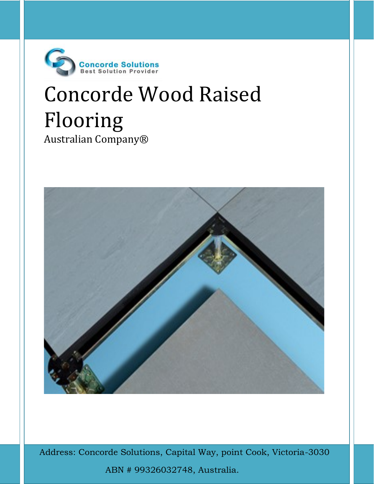

# Concorde Wood Raised Flooring Australian Company®



A Address: Concorde Solutions, Capital Way, point Cook, Victoria-3030 ABN # 99326032748, Australia.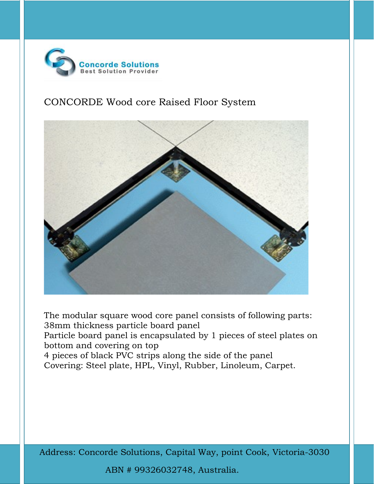

# CONCORDE Wood core Raised Floor System



The modular square wood core panel consists of following parts: 38mm thickness particle board panel Particle board panel is encapsulated by 1 pieces of steel plates on bottom and covering on top 4 pieces of black PVC strips along the side of the panel Covering: Steel plate, HPL, Vinyl, Rubber, Linoleum, Carpet.

A Address: Concorde Solutions, Capital Way, point Cook, Victoria-3030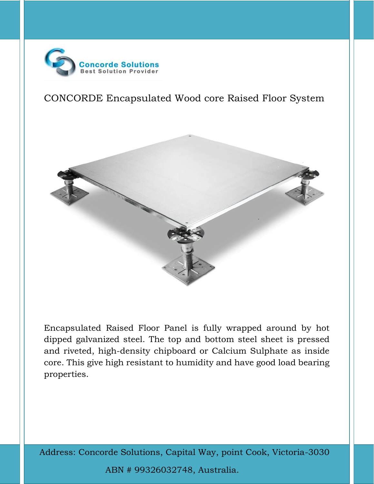

CONCORDE Encapsulated Wood core Raised Floor System



Encapsulated Raised Floor Panel is fully wrapped around by hot dipped galvanized steel. The top and bottom steel sheet is pressed and riveted, high-density chipboard or Calcium Sulphate as inside core. This give high resistant to humidity and have good load bearing properties.

A Address: Concorde Solutions, Capital Way, point Cook, Victoria-3030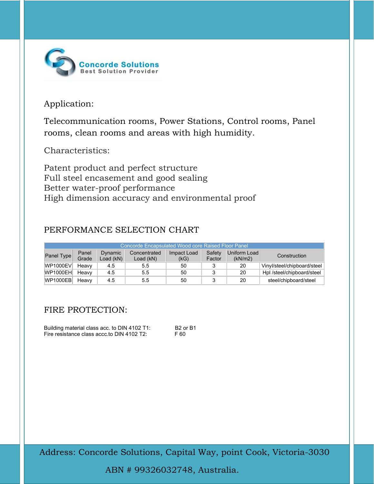

# Application:

Telecommunication rooms, Power Stations, Control rooms, Panel rooms, clean rooms and areas with high humidity.

Characteristics:

Patent product and perfect structure Full steel encasement and good sealing Better water-proof performance High dimension accuracy and environmental proof

### PERFORMANCE SELECTION CHART

| Concorde Encapsulated Wood core Raised Floor Panel |       |          |              |             |        |              |                             |  |
|----------------------------------------------------|-------|----------|--------------|-------------|--------|--------------|-----------------------------|--|
| Panel Type                                         | Panel | Dynamic  | Concentrated | Impact Load | Safety | Uniform Load | Construction                |  |
|                                                    | Grade | oad (kN) | Load (kN)    | (kG)        | Factor | (kN/m2)      |                             |  |
| WP1000EV                                           | Heavy | 4.5      | 5.5          | 50          |        | 20           | Vinyl/steel/chipboard/steel |  |
| <b>WP1000EH</b>                                    | Heavy | 4.5      | 5.5          | 50          |        | 20           | Hpl /steel/chipboard/steel  |  |
| <b>WP1000EB</b>                                    | Heavy | 4.5      | 5.5          | 50          |        | 20           | steel/chipboard/steel       |  |

# FIRE PROTECTION:

Building material class acc. to DIN 4102 T1: B2 or B1 Fire resistance class accc.to DIN 4102 T2: F 60

A Address: Concorde Solutions, Capital Way, point Cook, Victoria-3030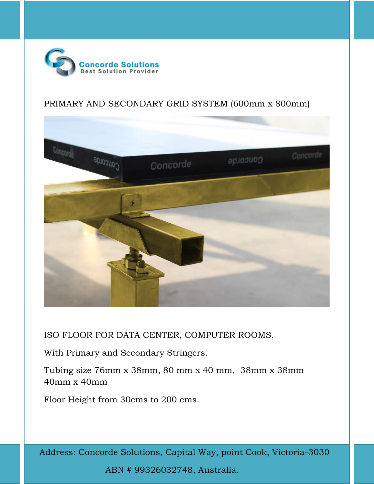

## PRIMARY AND SECONDARY GRID SYSTEM (600mm x 800mm)



ISO FLOOR FOR DATA CENTER, COMPUTER ROOMS.

With Primary and Secondary Stringers.

Tubing size 76mm x 38mm, 80 mm x 40 mm, 38mm x 38mm 40mm x 40mm

Floor Height from 30cms to 200 cms.

A Address: Concorde Solutions, Capital Way, point Cook, Victoria-3030 ABN # 99326032748, Australia.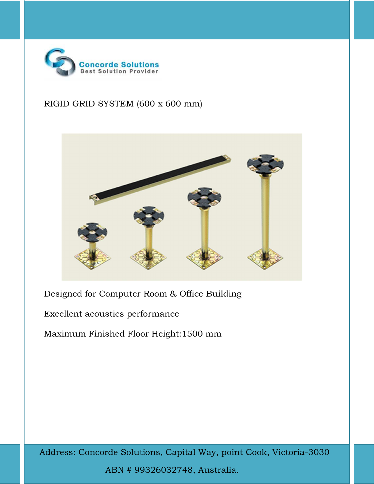

# RIGID GRID SYSTEM (600 x 600 mm)



Designed for Computer Room & Office Building

Excellent acoustics performance

Maximum Finished Floor Height:1500 mm

A Address: Concorde Solutions, Capital Way, point Cook, Victoria-3030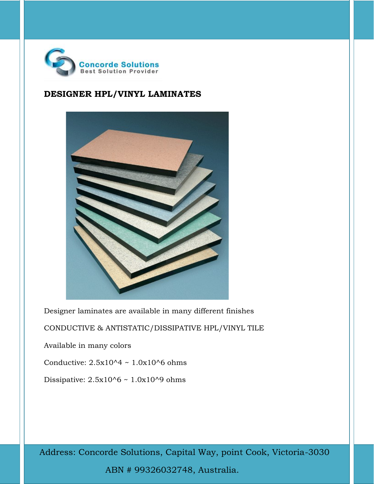

#### DESIGNER HPL/VINYL LAMINATES



Designer laminates are available in many different finishes

CONDUCTIVE & ANTISTATIC/DISSIPATIVE HPL/VINYL TILE

Available in many colors

Conductive:  $2.5x10^4 \sim 1.0x10^6$  ohms

Dissipative: 2.5x10^6 ~ 1.0x10^9 ohms

A Address: Concorde Solutions, Capital Way, point Cook, Victoria-3030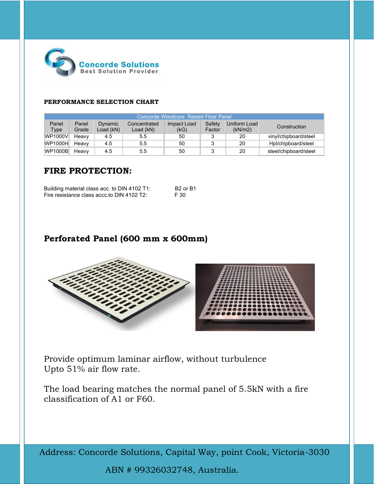

#### PERFORMANCE SELECTION CHART

| Concorde Woodcore Raised Floor Panel |       |           |              |             |        |              |                       |  |
|--------------------------------------|-------|-----------|--------------|-------------|--------|--------------|-----------------------|--|
| Panel                                | Panel | Dynamic   | Concentrated | Impact Load | Safety | Uniform Load | Construction          |  |
| Type                                 | Grade | Load (kN) | Load (kN)    | (kG)        | Factor | (kN/m2)      |                       |  |
| WP1000V                              | Heavy | 4.5       | 5.5          | 50          |        | 20           | vinyl/chipboard/steel |  |
| WP1000H                              | Heavy | 4.5       | 5.5          | 50          |        | 20           | Hpl/chipboard/steel   |  |
| WP1000B                              | Heavy | 4.5       | 5.5          | 50          |        | 20           | steel/chipboard/steel |  |

#### FIRE PROTECTION:

| Building material class acc. to DIN 4102 T1: | B <sub>2</sub> or B <sub>1</sub> |
|----------------------------------------------|----------------------------------|
| Fire resistance class accc.to DIN 4102 T2:   | F 30                             |

#### Perforated Panel (600 mm x 600mm)



Provide optimum laminar airflow, without turbulence Upto 51% air flow rate.

The load bearing matches the normal panel of 5.5kN with a fire classification of A1 or F60.

A Address: Concorde Solutions, Capital Way, point Cook, Victoria-3030